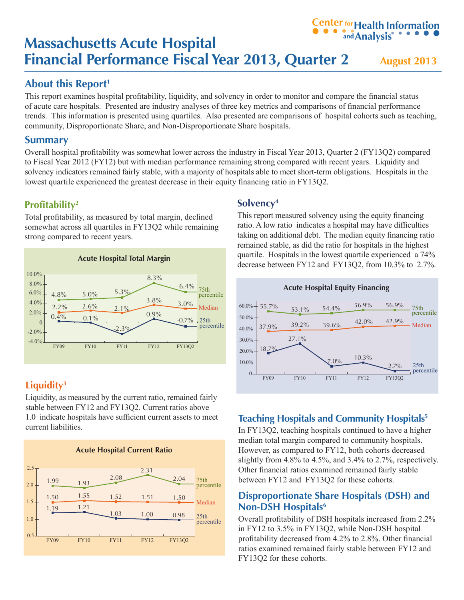# **Massachusetts Acute Hospital Financial Performance Fiscal Year 2013, Quarter 2** August 2013 **andAnalysis**

# **About this Report<sup>1</sup>**

This report examines hospital profitability, liquidity, and solvency in order to monitor and compare the financial status of acute care hospitals. Presented are industry analyses of three key metrics and comparisons of financial performance trends. This information is presented using quartiles. Also presented are comparisons of hospital cohorts such as teaching, community, Disproportionate Share, and Non-Disproportionate Share hospitals.

### **Summary**

Overall hospital profitability was somewhat lower across the industry in Fiscal Year 2013, Quarter 2 (FY13Q2) compared to Fiscal Year 2012 (FY12) but with median performance remaining strong compared with recent years. Liquidity and solvency indicators remained fairly stable, with a majority of hospitals able to meet short-term obligations. Hospitals in the lowest quartile experienced the greatest decrease in their equity financing ratio in FY13Q2.

## **[Profitability](#page-2-0)<sup>2</sup>**

Total profitability, as measured by total margin, declined somewhat across all quartiles in FY13Q2 while remaining strong compared to recent years.



# **[Liquidity3](#page-2-0)**

Liquidity, as measured by the current ratio, remained fairly stable between FY12 and FY13Q2. Current ratios above 1.0 indicate hospitals have sufficient current assets to meet current liabilities.



### **[Solvency4](#page-2-0)**

This report measured solvency using the equity financing ratio. A low ratio indicates a hospital may have difficulties taking on additional debt. The median equity financing ratio remained stable, as did the ratio for hospitals in the highest quartile. Hospitals in the lowest quartile experienced a 74% decrease between FY12 and FY13Q2, from 10.3% to 2.7%.

**Center for Health Information** 



# **[Teaching Hospitals and Community Hospitals5](#page-2-0)**

In FY13Q2, teaching hospitals continued to have a higher median total margin compared to community hospitals. However, as compared to FY12, both cohorts decreased slightly from 4.8% to 4.5%, and 3.4% to 2.7%, respectively. Other financial ratios examined remained fairly stable between FY12 and FY13Q2 for these cohorts.

### **[Disproportionate Share Hospitals \(DSH\) and](#page-2-0)  Non-DSH Hospitals<sup>6</sup>**

Overall profitability of DSH hospitals increased from 2.2% in FY12 to 3.5% in FY13Q2, while Non-DSH hospital profitability decreased from 4.2% to 2.8%. Other financial ratios examined remained fairly stable between FY12 and FY13Q2 for these cohorts.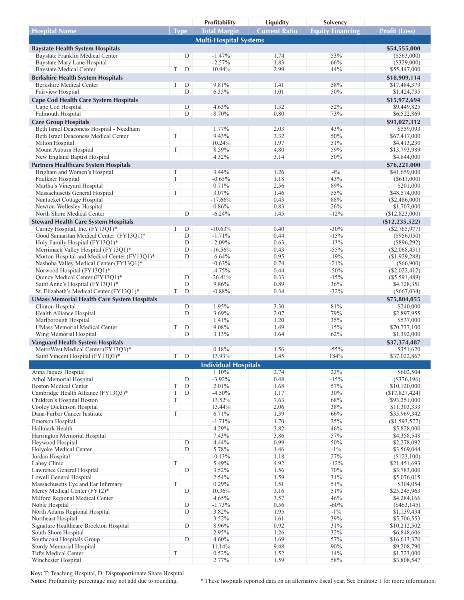|                                                                                  |              |                  | Profitability                 | Liquidity            | Solvency                |                               |
|----------------------------------------------------------------------------------|--------------|------------------|-------------------------------|----------------------|-------------------------|-------------------------------|
| <b>Hospital Name</b>                                                             | <b>Type</b>  |                  | <b>Total Margin</b>           | <b>Current Ratio</b> | <b>Equity Financing</b> | <b>Profit (Loss)</b>          |
|                                                                                  |              |                  | <b>Multi-Hospital Systems</b> |                      |                         |                               |
| <b>Baystate Health System Hospitals</b>                                          |              |                  |                               |                      |                         | \$54,555,000                  |
| Baystate Franklin Medical Center                                                 |              | D                | $-1.47%$                      | 1.74                 | 53%                     | $(\$563,000)$                 |
| Baystate Mary Lane Hospital                                                      |              |                  | $-2.57%$                      | 1.83                 | 66%                     | $(\$329,000)$                 |
| <b>Baystate Medical Center</b>                                                   | T            | D                | 10.94%                        | 2.99                 | 44%                     | \$55,447,000                  |
| <b>Berkshire Health System Hospitals</b>                                         |              |                  |                               |                      |                         | \$18,909,114                  |
| Berkshire Medical Center                                                         | T            | D                | 9.81%                         | 1.41                 | 58%                     | \$17,484,379                  |
| Fairview Hospital                                                                |              | D                | 6.35%                         | 1.01                 | 50%                     | \$1,424,735                   |
| <b>Cape Cod Health Care System Hospitals</b>                                     |              |                  |                               |                      |                         | \$15,972,694                  |
| Cape Cod Hospital                                                                |              | D                | 4.63%                         | 1.32                 | 52%                     | \$9,449,825                   |
| Falmouth Hospital                                                                |              | $\mathbf D$      | 8.70%                         | 0.80                 | 73%                     | \$6,522,869                   |
| <b>Care Group Hospitals</b>                                                      |              |                  |                               |                      | 43%                     | \$91,027,312                  |
| Beth Israel Deaconess Hospital - Needham<br>Beth Israel Deaconess Medical Center | T            |                  | 1.77%<br>9.43%                | 2.03<br>3.32         | 50%                     | \$559,093<br>\$67,417,000     |
| Milton Hospital                                                                  |              |                  | 10.24%                        | 1.97                 | 51%                     | \$4,413,230                   |
| Mount Auburn Hospital                                                            | $\mathbf T$  |                  | 8.59%                         | 4.80                 | 59%                     | \$13,793,989                  |
| New England Baptist Hospital                                                     |              |                  | 4.32%                         | 3.14                 | 50%                     | \$4,844,000                   |
| Partners Healthcare System Hospitals                                             |              |                  |                               |                      |                         | \$76,221,000                  |
| Brigham and Women's Hospital                                                     | $\mathbf T$  |                  | 3.44%                         | 1.26                 | 4%                      | \$41,659,000                  |
| Faulkner Hospital                                                                | $\mathbf T$  |                  | $-0.65%$                      | 1.18                 | 43%                     | $(\$611,000)$                 |
| Martha's Vineyard Hospital                                                       |              |                  | 0.71%                         | 2.56                 | 89%                     | \$201,000                     |
| Massachusetts General Hospital                                                   | T            |                  | 3.07%                         | 1.46                 | 55%                     | \$48,574,000                  |
| Nantucket Cottage Hospital                                                       |              |                  | $-17.66%$                     | 0.43                 | 88%                     | $(\$2,486,000)$               |
| Newton-Wellesley Hospital                                                        |              |                  | 0.86%                         | 0.83                 | 26%                     | \$1,707,000                   |
| North Shore Medical Center                                                       |              | D                | $-6.24%$                      | 1.45                 | $-12%$                  | (\$12,823,000)                |
| <b>Steward Health Care System Hospitals</b>                                      |              |                  |                               |                      |                         | $(\$12, 235, 522)$            |
| Carney Hospital, Inc. (FY13Q1)*<br>Good Samaritan Medical Center (FY13O1)*       | T            | D<br>$\mathbf D$ | $-10.63%$<br>$-1.71%$         | 0.40<br>0.44         | $-30%$<br>$-15%$        | (S2,765,977)<br>$(\$956,050)$ |
| Holy Family Hospital (FY13Q1)*                                                   |              | $\mathbf D$      | $-2.09%$                      | 0.63                 | $-13%$                  | $(\$896,292)$                 |
| Merrimack Valley Hospital (FY13Q1)*                                              |              | D                | $-16.56%$                     | 0.43                 | $-55%$                  | $(\$2,068,431)$               |
| Morton Hospital and Medical Center (FY13Q1)*                                     |              | D                | $-6.64%$                      | 0.95                 | $-19%$                  | (\$1,929,288)                 |
| Nashoba Valley Medical Center (FY13Q1)*                                          |              |                  | $-0.63%$                      | 0.74                 | $-21%$                  | $(\$66,900)$                  |
| Norwood Hospital (FY13Q1)*                                                       |              |                  | $-4.75%$                      | 0.44                 | $-50%$                  | $(\$2,022,412)$               |
| Quincy Medical Center (FY13Q1)*                                                  |              | $\mathbf D$      | $-26.41%$                     | 0.33                 | $-15%$                  | $(\$5,591,489)$               |
| Saint Anne's Hospital (FY13Q1)*                                                  |              | $\mathbf D$      | 9.86%                         | 0.89                 | 36%                     | \$4,728,351                   |
| St. Elizabeth's Medical Center (FY13Q1)*                                         | $\mathcal T$ | D                | $-0.88%$                      | 0.34                 | $-32%$                  | $(\$667,034)$                 |
| <b>UMass Memorial Health Care System Hospitals</b>                               |              |                  |                               |                      |                         | \$75,804,055                  |
| Clinton Hospital                                                                 |              | D<br>$\mathbf D$ | 1.95%<br>3.69%                | 3.30<br>2.07         | 81%<br>79%              | \$240,000<br>\$2,897,955      |
| Health Alliance Hospital<br>Marlborough Hospital                                 |              |                  | 1.41%                         | 1.20                 | 35%                     | \$537,000                     |
| <b>UMass Memorial Medical Center</b>                                             | $\mathbf T$  | D                | 9.08%                         | 1.49                 | 15%                     | \$70,737,100                  |
| Wing Memorial Hospital                                                           |              | D                | 3.13%                         | 1.64                 | 62%                     | \$1,392,000                   |
| <b>Vanguard Health System Hospitals</b>                                          |              |                  |                               |                      |                         | \$37,374,487                  |
| MetroWest Medical Center (FY13O3)*                                               |              |                  | 0.18%                         | 1.56                 | $-55%$                  | \$351,620                     |
| Saint Vincent Hospital (FY13Q3)*                                                 | T            | D                | 13.93%                        | 1.45                 | 184%                    | \$37,022,867                  |
|                                                                                  |              |                  | <b>Individual Hospitals</b>   |                      |                         |                               |
| Anna Jaques Hospital                                                             |              |                  | 1.10%                         | 2.74                 | 22%                     | \$602,504                     |
| Athol Memorial Hospital                                                          |              | D                | $-3.92%$                      | 0.48                 | $-15%$                  | $(\$376,196)$                 |
| <b>Boston Medical Center</b>                                                     | T            | D                | 2.01%                         | 1.68                 | 57%                     | \$10,120,000                  |
| Cambridge Health Alliance (FY13Q3)*                                              | $\mathbf T$  | D                | $-4.50%$                      | 1.17                 | 30%                     | (\$17,827,424)                |
| Children's Hospital Boston                                                       | T            |                  | 13.52%                        | 7.63                 | 68%                     | \$93,251,000                  |
| Cooley Dickinson Hospital<br>Dana-Farber Cancer Institute                        | $\mathcal T$ |                  | 13.44%<br>6.71%               | 2.06<br>1.39         | 38%<br>66%              | \$11,303,333                  |
| Emerson Hospital                                                                 |              |                  | $-1.71%$                      | 1.70                 | $25\%$                  | \$35,969,342<br>(\$1,593,577) |
| Hallmark Health                                                                  |              |                  | 4.29%                         | 3.82                 | 46%                     | \$5,828,000                   |
| Harrington Memorial Hospital                                                     |              |                  | 7.43%                         | 3.86                 | 57%                     | \$4,358,548                   |
| Heywood Hospital                                                                 |              | D                | 4.44%                         | 0.99                 | 50%                     | \$2,278,092                   |
| Holyoke Medical Center                                                           |              | D                | 5.78%                         | 1.46                 | $-1\%$                  | \$3,569,044                   |
| Jordan Hospital                                                                  |              |                  | $-0.13%$                      | 1.18                 | 27%                     | (\$123,100)                   |
| Lahey Clinic                                                                     | $\mathcal T$ |                  | 5.49%                         | 4.92                 | $-12%$                  | \$21,451,693                  |
| Lawrence General Hospital                                                        |              | D                | 3.52%                         | 1.56                 | $70\%$                  | \$3,783,000                   |
| Lowell General Hospital                                                          |              |                  | 2.54%                         | 1.59                 | 31%                     | \$5,076,015                   |
| Massachusetts Eye and Ear Infirmary<br>Mercy Medical Center (FY12)*              | T            | ${\rm D}$        | 0.29%<br>10.36%               | 1.51<br>3.16         | 51%<br>51%              | \$304,054<br>\$25,245,963     |
| Milford Regional Medical Center                                                  |              |                  | 4.65%                         | 3.57                 | 46%                     | \$4,284,166                   |
| Noble Hospital                                                                   |              | D                | $-1.73%$                      | 0.56                 | $-60%$                  | $(\$463,145)$                 |
| North Adams Regional Hospital                                                    |              | D                | 3.82%                         | 1.95                 | $-1\%$                  | \$1,139,434                   |
| Northeast Hospital                                                               |              |                  | 3.52%                         | 1.61                 | 39%                     | \$5,706,553                   |
| Signature Healthcare Brockton Hospital                                           |              | D                | 8.96%                         | 0.92                 | 31%                     | \$10,212,502                  |
| South Shore Hospital                                                             |              |                  | 2.95%                         | 1.26                 | 32%                     | \$6,848,606                   |
| Southcoast Hospitals Group                                                       |              | D                | 4.60%                         | 1.69                 | 57%                     | \$16,613,370                  |
| Sturdy Memorial Hospital<br>Tufts Medical Center                                 | $\mathcal T$ |                  | 11.14%<br>0.52%               | 9.48<br>1.52         | 90%<br>14%              | \$9,208,790<br>\$1,723,000    |
| Winchester Hospital                                                              |              |                  | 2.77%                         | 1.59                 | 58%                     | \$3,808,547                   |
|                                                                                  |              |                  |                               |                      |                         |                               |

**Key:** T: Teaching Hospital, D: Disproportionate Share Hospital

\* These hospitals reported data on an alternative fiscal year. See Endnote 1 for more information.